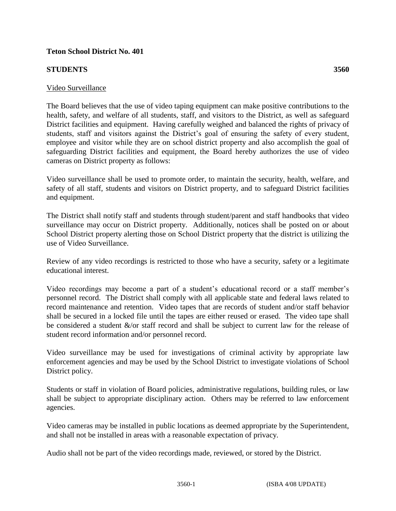## **Teton School District No. 401**

## **STUDENTS 3560**

## Video Surveillance

The Board believes that the use of video taping equipment can make positive contributions to the health, safety, and welfare of all students, staff, and visitors to the District, as well as safeguard District facilities and equipment. Having carefully weighed and balanced the rights of privacy of students, staff and visitors against the District's goal of ensuring the safety of every student, employee and visitor while they are on school district property and also accomplish the goal of safeguarding District facilities and equipment, the Board hereby authorizes the use of video cameras on District property as follows:

Video surveillance shall be used to promote order, to maintain the security, health, welfare, and safety of all staff, students and visitors on District property, and to safeguard District facilities and equipment.

The District shall notify staff and students through student/parent and staff handbooks that video surveillance may occur on District property. Additionally, notices shall be posted on or about School District property alerting those on School District property that the district is utilizing the use of Video Surveillance.

Review of any video recordings is restricted to those who have a security, safety or a legitimate educational interest.

Video recordings may become a part of a student's educational record or a staff member's personnel record. The District shall comply with all applicable state and federal laws related to record maintenance and retention. Video tapes that are records of student and/or staff behavior shall be secured in a locked file until the tapes are either reused or erased. The video tape shall be considered a student &/or staff record and shall be subject to current law for the release of student record information and/or personnel record.

Video surveillance may be used for investigations of criminal activity by appropriate law enforcement agencies and may be used by the School District to investigate violations of School District policy.

Students or staff in violation of Board policies, administrative regulations, building rules, or law shall be subject to appropriate disciplinary action. Others may be referred to law enforcement agencies.

Video cameras may be installed in public locations as deemed appropriate by the Superintendent, and shall not be installed in areas with a reasonable expectation of privacy.

Audio shall not be part of the video recordings made, reviewed, or stored by the District.